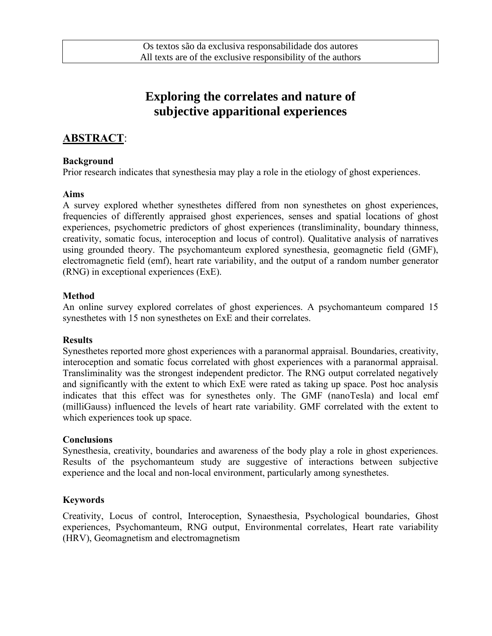# **Exploring the correlates and nature of subjective apparitional experiences**

# **ABSTRACT**:

#### **Background**

Prior research indicates that synesthesia may play a role in the etiology of ghost experiences.

#### **Aims**

A survey explored whether synesthetes differed from non synesthetes on ghost experiences, frequencies of differently appraised ghost experiences, senses and spatial locations of ghost experiences, psychometric predictors of ghost experiences (transliminality, boundary thinness, creativity, somatic focus, interoception and locus of control). Qualitative analysis of narratives using grounded theory. The psychomanteum explored synesthesia, geomagnetic field (GMF), electromagnetic field (emf), heart rate variability, and the output of a random number generator (RNG) in exceptional experiences (ExE).

### **Method**

An online survey explored correlates of ghost experiences. A psychomanteum compared 15 synesthetes with 15 non synesthetes on ExE and their correlates.

#### **Results**

Synesthetes reported more ghost experiences with a paranormal appraisal. Boundaries, creativity, interoception and somatic focus correlated with ghost experiences with a paranormal appraisal. Transliminality was the strongest independent predictor. The RNG output correlated negatively and significantly with the extent to which ExE were rated as taking up space. Post hoc analysis indicates that this effect was for synesthetes only. The GMF (nanoTesla) and local emf (milliGauss) influenced the levels of heart rate variability. GMF correlated with the extent to which experiences took up space.

#### **Conclusions**

Synesthesia, creativity, boundaries and awareness of the body play a role in ghost experiences. Results of the psychomanteum study are suggestive of interactions between subjective experience and the local and non-local environment, particularly among synesthetes.

### **Keywords**

Creativity, Locus of control, Interoception, Synaesthesia, Psychological boundaries, Ghost experiences, Psychomanteum, RNG output, Environmental correlates, Heart rate variability (HRV), Geomagnetism and electromagnetism